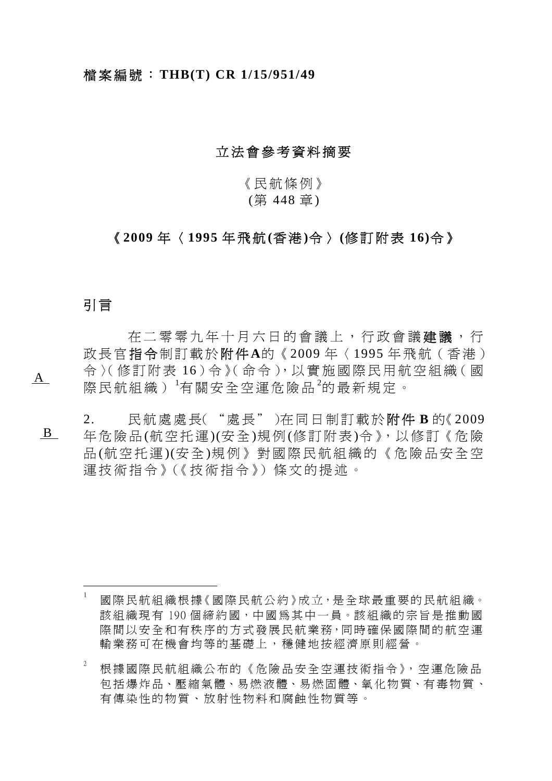## 立法會參考資料摘要

《民航條例》

(第 448 章 )

## 《 **2009** 年 〈 **1995** 年飛航 **(**香 港 **)**令 〉 **(**修訂附表 **16)**令 》

## 引 言

 $A$ 

 $\overline{a}$ 

在二零零九年十月六日的會議上, 行政會議建議, 行 政長官 指 令 制訂載於 附 件 **A**的《 2009 年〈 1995 年飛航(香港) 令 〉(修訂附表 16)令 》(命令),以 實 施 國 際 民 用 航 空 組 織( 國 際民航組織) [1](#page-0-0) 有關安全空運危險品 [2](#page-0-1) 的最新規定。

 B 2. 民航處處長("處長")在同日制訂載於 附 件 **B** 的《 2009 年危險品 (航空托運 )(安 全 )規 例 (修訂附表 )令 》,以 修 訂《 危 險 品 (航空托運 )(安 全 )規例》對國際民航組織的《危險品安全空 運技術指令》(《技術指令》)條文的提述。

<span id="page-0-0"></span><sup>1</sup> 國際民航組織根據《國際民航公約》成立,是全球最重要的民航組織。 該組織現有 190 個締約國,中國為其中一員。該組織的宗旨是推動國 際間以安全和有秩序的方式發展民航業務,同時確保國際間的航空運 輸業務可在機會均等的基礎上 ,穩健地按經濟原則經營。

<span id="page-0-1"></span><sup>2</sup> 根據國際民航組織公布的《危險品安全空運技術指令》,空運危險品 包 括 爆 炸 品、壓 縮 氣 體、易 燃 液 體、易 燃 固 體、氧 化 物 質、有 毒 物 質 、 有傳染性的物質、放射性物料 和腐蝕性物質等。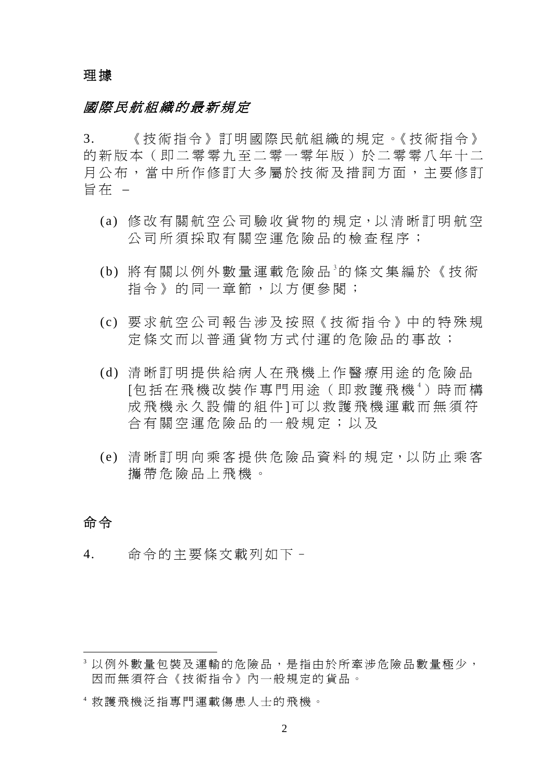## 理 據

## 國際民航組織的最新規定

3. 《技術指令》訂明國際民航組織的規定。《技術指令》 的新版本(即二零零九至二零一零年版)於二零零八年十二 月公布,當中所作修訂大多屬於技術及措詞方面,主要修訂 旨在 –

- (a) 修改 有關 航 空 公 司 驗 收 貨 物 的 規 定, 以 清 晰 訂 明 航 空 公司所須採取有關空運危險品的檢查程序;
- (b) 將有關以例外數量運載危險品<sup>[3](#page-1-0)</sup>的條文集編於《技術 指令》的同一章節,以方便參閱;
- (c) 要 求 航 空 公 司 報 告 涉 及 按 照《 技 術 指 令 》中 的 特 殊 規 定條文而以普通貨物方式付運的危險品的事故;
- (d) 清晰訂明提供給病人在飛機 上作醫療用途的危險品 [包括在飛機改裝作專門用途 (即救護飛機 [4](#page-1-1))時而構 成飛機永久設備的組件]可以 救護飛機運載而無須符 合有關空運危險品的一般規定;以及
- (e) 清晰 訂 明 向 乘 客 提 供 危 險 品 資 料 的 規 定, 以 防 止 乘 客 攜帶危險品上飛機。

## 命 令

 $\overline{a}$ 

4. 命令的主要條文載列如下–

<span id="page-1-0"></span><sup>3</sup> 以例外數量包裝及運輸的危險品,是指 由於所牽涉危險品數量極少, 因而無須符合《技術指令》內 一般規定的貨品。

<span id="page-1-1"></span><sup>4</sup> 救護飛機泛指專門運載傷患人士的飛機。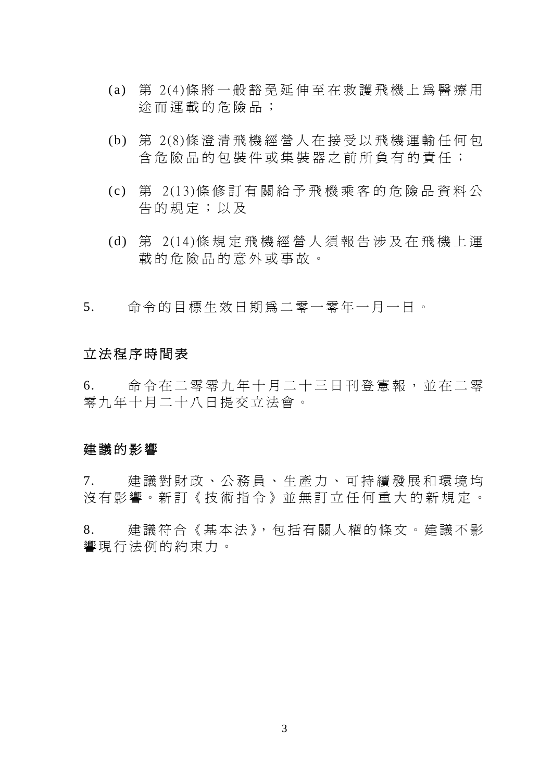- (a) 第 2(4)條將一般豁免延伸至在救護飛機上為醫療用 途而運載的危險品;
- (b) 第 2(8)條澄清飛機經營人在接受以飛機運輸任何包 含危險品的包裝件或集裝器之前所負有的責任;
- (c) 第 2(13)條 修 訂 有 關 給 予 飛 機 乘 客 的 危 險 品 資 料 公 告的規定;以及
- (d) 第 2(14)條 規 定 飛 機 經 營 人 須 報 告 涉 及 在 飛 機 上 運 載的危險品的意外或事故。
- 5. 命令的目標生效日期為二零一零年一月一日。

## 立法程序時間表

6. 命令在二零零九年十月二十三日刊登憲報,並在二零 零九年十月二十八日提交立法會。

## 建議的影響

7. 建議對財政、公務員、生產力、可持續發展和環境均 沒有影響。新訂《技術指令》並無訂立任何重大的新規定。

8. 建議符合《基本法》,包括有關人權的條文。建議不影 響現行法例的約束力。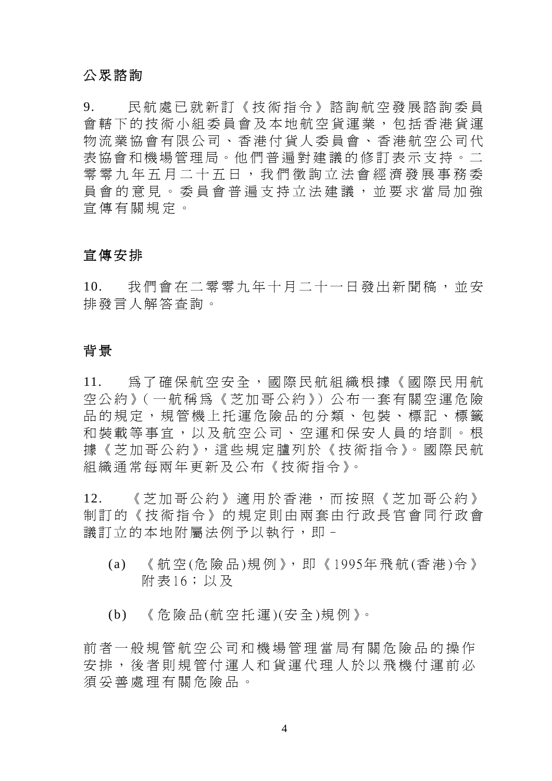## 公眾諮詢

9. 民航處已就新訂《技術指令》諮詢航空發展諮詢委員 會轄下的技術小組委員會及本地航空貨運業,包括香港貨運 物流業協會有限公司、香港付貨人委員會、香港航空公司代 表協會和機場管理局。他們普遍對建議的修訂表示支持。二 零零九年五月二十五日,我們徵詢立法會經濟發展事務委 員會的意見。委員會普遍支持立法建議,並要求當局加強 宣傳有關規定。

## 宣傳安排

10. 我們會在二零零九年十月二十一日發出新聞稿,並安 排發言人解答查詢。

### 背 景

11. 為了確保航空安全,國際民航組織根據《國際民用航 空公約》(一航稱為《芝加哥公約》)公布一套有關空運危險 品的規定,規管機上托運危險品的分類、包裝、標記、標籤 和裝載等事宜,以及航空公司、空運和保安人員的培訓。根 據《芝加哥公約》,這些規定臚列於《技術指令》。國際民航 組織通常每兩年更新及公布《技術指令》。

12. 《芝加哥公約》適用於香港,而按照《芝加哥公約》 制訂的《技術指令》的規定則由兩套由行政長官會同行政會 議訂立的本地附屬法例予以執行,即-

- (a) 《航空(危險品)規例》,即《1995年飛航(香港)令》 附表16;以及
- (b) 《危險品(航空托運)(安全)規例》。

前者一般規管航空公司和機場管理 當局有關危險品的操作 安排,後者則規管付運人和貨運代 理人於以飛機付運前必 須妥善處理有關危險品。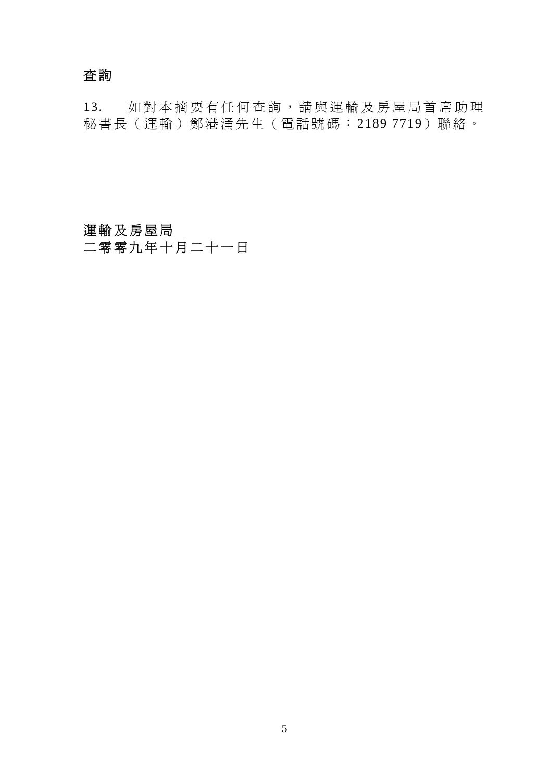# 查詢

13. 如對本摘要有任何查詢,請與運輸及房屋局首席助理 秘書長(運輸)鄭港涌先生(電話號碼: 2189 7719)聯絡。

# 運輸及房屋局 二零零九年十月二十一日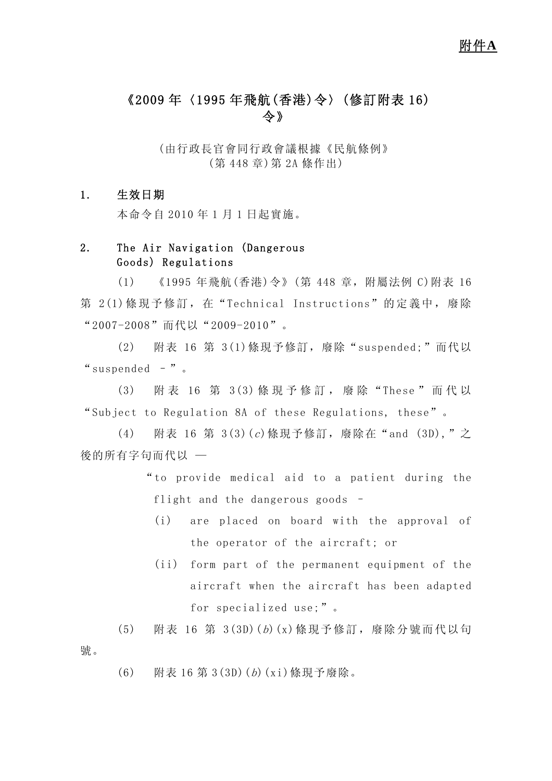# 《2009 年〈1995 年飛航(香港)令〉(修訂附表 16) 令》

(由行政長官會同行政會議根據《民航條例》 (第 448 章)第 2A 條作出)

### 1. 生效日期

本命令自 2010 年 1 月 1 日起實施。

## 2. The Air Navigation (Dangerous Goods) Regulations

(1) 《1995 年飛航(香港)令》(第 448 章,附屬法例 C)附表 16 第 2(1)條現予修訂, 在"Technical Instructions"的定義中, 廢除 "2007-2008"而代以"2009-2010"。

(2) 附表 16 第 3(1)條現予修訂,廢除"suspended;"而代以 "suspended –"。

(3) 附 表 16 第 3(3) 條 現 予 修 訂 , 廢 除 "These "而代以 "Subject to Regulation 8A of these Regulations, these"。

(4) 附表 16 第 3(3)(c)條現予修訂,廢除在"and (3D),"之 後的所有字句而代以 —

> "to provide medical aid to a patient during the flight and the dangerous goods –

- (i) are placed on board with the approval of the operator of the aircraft; or
- (ii) form part of the permanent equipment of the aircraft when the aircraft has been adapted for specialized use;"。
- (5) 附表 16 第 3(3D)(b)(x)條現予修訂,廢除分號而代以句 號。
	- (6) 附表 16 第 3(3D)(b)(xi)條現予廢除。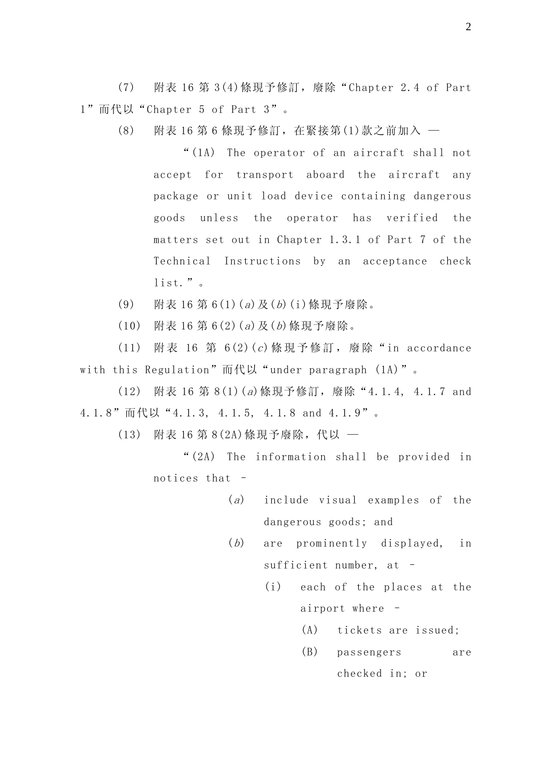(7) 附表 16 第 3(4)條現予修訂,廢除"Chapter 2.4 of Part 1"而代以"Chapter 5 of Part 3"。

(8) 附表 16 第 6 條現予修訂,在緊接第(1)款之前加入 —

"(1A) The operator of an aircraft shall not accept for transport aboard the aircraft any package or unit load device containing dangerous goods unless the operator has verified the matters set out in Chapter 1.3.1 of Part 7 of the Technical Instructions by an acceptance check list."。

- (9) 附表 16 第 6(1)(a)及(b)(i)條現予廢除。
- $(10)$  附表 16 第 6(2)(a)及(b)條現予廢除。

(11) 附表 16 第 6(2)(c)條現予修訂, 廢除"in accordance with this Regulation" 而代以 "under paragraph  $(1A)$ ".

(12) 附表 16 第 8(1)(a)條現予修訂,廢除"4.1.4, 4.1.7 and 4.1.8"而代以"4.1.3, 4.1.5, 4.1.8 and 4.1.9"。

(13) 附表 16 第 8(2A)條現予廢除,代以 —

"(2A) The information shall be provided in notices that –

- (a) include visual examples of the dangerous goods; and
- (b) are prominently displayed, in sufficient number, at –
	- (i) each of the places at the airport where –
		- (A) tickets are issued;
		- (B) passengers are checked in; or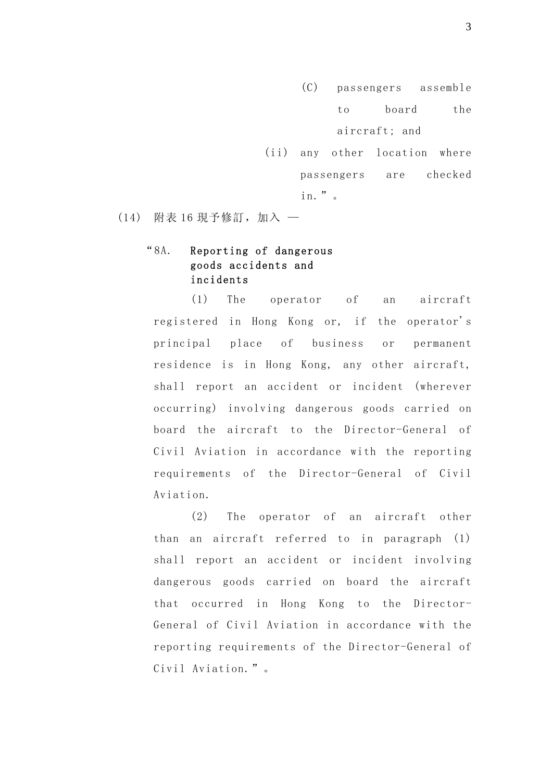- (C) passengers assemble to board the aircraft; and
- (ii) any other location where passengers are checked in."。

(14) 附表 16 現予修訂,加入 —

## "8A. Reporting of dangerous goods accidents and incidents

(1) The operator of an aircraft registered in Hong Kong or, if the operator's principal place of business or permanent residence is in Hong Kong, any other aircraft, shall report an accident or incident (wherever occurring) involving dangerous goods carried on board the aircraft to the Director-General of Civil Aviation in accordance with the reporting requirements of the Director-General of Civil Aviation.

(2) The operator of an aircraft other than an aircraft referred to in paragraph (1) shall report an accident or incident involving dangerous goods carried on board the aircraft that occurred in Hong Kong to the Director-General of Civil Aviation in accordance with the reporting requirements of the Director-General of Civil Aviation."。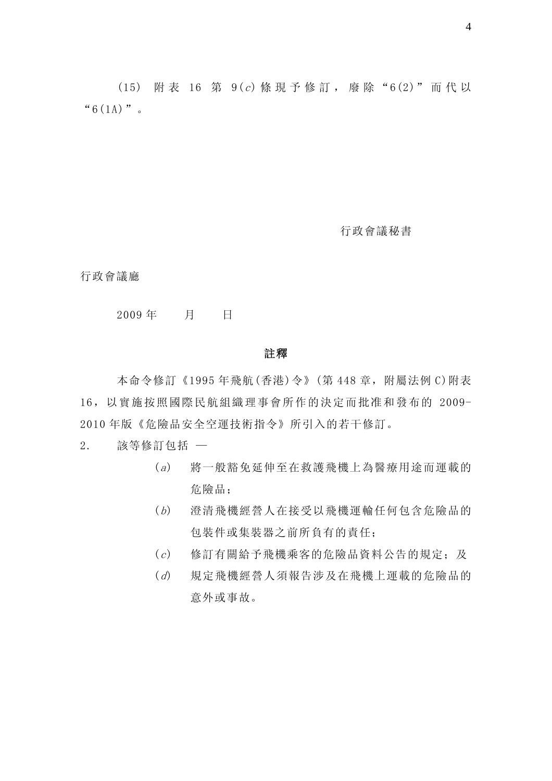(15) 附 表 16 第 9(c) 條 現 予 修 訂 , 廢 除 "6(2)" 而 代 以  $``6(1)''$  .

行政會議秘書

行政會議廳

#### 2009 年 月 日

#### 註釋

本命令修訂《1995年飛航(香港)令》(第 448 章, 附屬法例 C)附表 16,以實施按照國際民航組織理事會所作的決定而批准和發布的 2009- 2010 年版《危險品安全空運技術指令》所引入的若干修訂。

2. 該等修訂包括 —

- (a) 將一般豁免延伸至在救護飛機上為醫療用途而運載的 危險品;
- (b) 澄清飛機經營人在接受以飛機運輸任何包含危險品的 包裝件或集裝器之前所負有的責任;
- (c) 修訂有關給予飛機乘客的危險品資料公告的規定;及
- (d) 規定飛機經營人須報告涉及在飛機上運載的危險品的 意外或事故。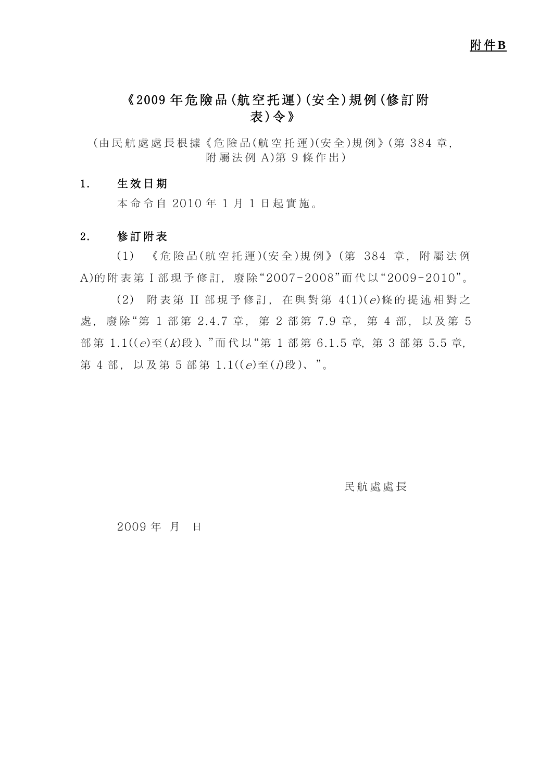# 《2009 年危險品(航空托運)(安全)規例(修訂附 表)令》

(由 民 航 處 處 長 根 據《 危 險 品 (航 空 托 運 )(安 全 )規 例 》(第 384 章 , 附屬法例 A)第 9 條作出)

#### 1. 生效日期

本命令自 2010 年 1 月 1 日起實施。

#### 2. 修訂附表

(1) 《危險品(航空托運)(安全)規例》(第 384 章,附屬法例 A)的附表第 I 部現予修訂, 廢除"2007-2008"而代以"2009-2010"。

(2) 附表第 II 部現予修訂,在與對第 4(1)(e)條的提述相對之 處, 廢除"第 1 部第 2.4.7 章, 第 2 部第 7.9 章, 第 4 部, 以及第 5 部第  $1.1$  $((e)$ 至 $(k)$ 段)、"而代以"第 1 部第 6.1.5 章, 第 3 部第 5.5 章, 第 4 部, 以及第 5 部第  $1.1$  $((e) \nsubseteq (i) \nsubseteq )$ 、"。

民航處處長

2009 年 月 日